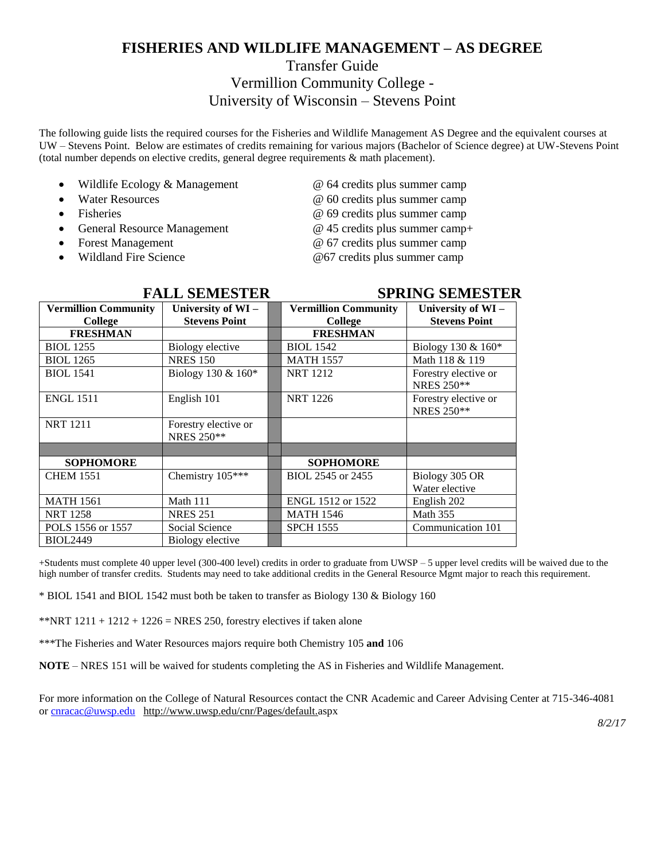#### **FISHERIES AND WILDLIFE MANAGEMENT – AS DEGREE**

### Transfer Guide Vermillion Community College - University of Wisconsin – Stevens Point

The following guide lists the required courses for the Fisheries and Wildlife Management AS Degree and the equivalent courses at UW – Stevens Point. Below are estimates of credits remaining for various majors (Bachelor of Science degree) at UW-Stevens Point (total number depends on elective credits, general degree requirements & math placement).

- Wildlife Ecology & Management  $\oslash$  64 credits plus summer camp
- 
- 
- General Resource Management @ 45 credits plus summer camp+
- 
- 
- 
- Water Resources **a a e 60** credits plus summer camp
- Fisheries @ 69 credits plus summer camp
	-
- Forest Management @ 67 credits plus summer camp
- Wildland Fire Science  $@67$  credits plus summer camp

|                                        | т леге оглуго гек                         | от кито осласно гек                    |                                           |  |  |
|----------------------------------------|-------------------------------------------|----------------------------------------|-------------------------------------------|--|--|
| <b>Vermillion Community</b><br>College | University of WI-<br><b>Stevens Point</b> | <b>Vermillion Community</b><br>College | University of WI-<br><b>Stevens Point</b> |  |  |
| <b>FRESHMAN</b>                        |                                           | <b>FRESHMAN</b>                        |                                           |  |  |
| <b>BIOL</b> 1255                       | Biology elective                          | <b>BIOL 1542</b>                       | Biology 130 $& 160*$                      |  |  |
| <b>BIOL</b> 1265                       | <b>NRES 150</b>                           | <b>MATH 1557</b>                       | Math 118 & 119                            |  |  |
| <b>BIOL</b> 1541                       | Biology 130 $& 160*$                      | <b>NRT 1212</b>                        | Forestry elective or<br><b>NRES 250**</b> |  |  |
| <b>ENGL 1511</b>                       | English 101                               | <b>NRT 1226</b>                        | Forestry elective or<br><b>NRES 250**</b> |  |  |
| <b>NRT 1211</b>                        | Forestry elective or<br><b>NRES 250**</b> |                                        |                                           |  |  |
|                                        |                                           |                                        |                                           |  |  |
| <b>SOPHOMORE</b>                       |                                           | <b>SOPHOMORE</b>                       |                                           |  |  |
| <b>CHEM 1551</b>                       | Chemistry 105***                          | BIOL 2545 or 2455                      | Biology 305 OR<br>Water elective          |  |  |
| <b>MATH 1561</b>                       | Math 111                                  | ENGL 1512 or 1522                      | English 202                               |  |  |
| <b>NRT 1258</b>                        | <b>NRES 251</b>                           | <b>MATH 1546</b>                       | Math 355                                  |  |  |
| POLS 1556 or 1557                      | Social Science                            | <b>SPCH 1555</b>                       | Communication 101                         |  |  |
| <b>BIOL2449</b>                        | Biology elective                          |                                        |                                           |  |  |

+Students must complete 40 upper level (300-400 level) credits in order to graduate from UWSP – 5 upper level credits will be waived due to the high number of transfer credits. Students may need to take additional credits in the General Resource Mgmt major to reach this requirement.

\* BIOL 1541 and BIOL 1542 must both be taken to transfer as Biology 130 & Biology 160

\*\*NRT  $1211 + 1212 + 1226$  = NRES 250, forestry electives if taken alone

\*\*\*The Fisheries and Water Resources majors require both Chemistry 105 **and** 106

**NOTE** – NRES 151 will be waived for students completing the AS in Fisheries and Wildlife Management.

For more information on the College of Natural Resources contact the CNR Academic and Career Advising Center at 715-346-4081 or [cnracac@uwsp.edu](mailto:cnracac@uwsp.edu) <http://www.uwsp.edu/cnr/Pages/default.aspx>

#### **FALL SEMESTER SPRING SEMESTER**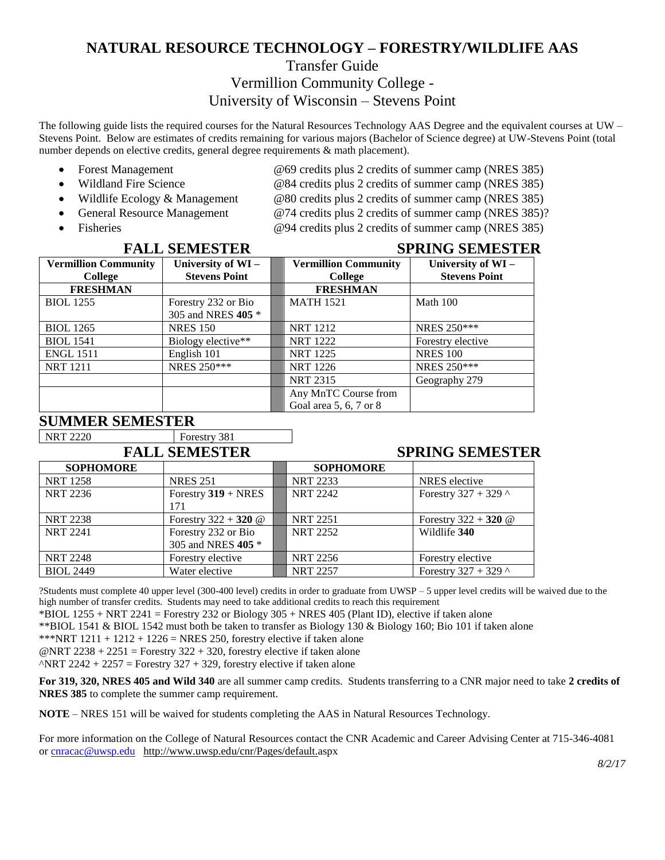#### **NATURAL RESOURCE TECHNOLOGY – FORESTRY/WILDLIFE AAS**

#### Transfer Guide Vermillion Community College - University of Wisconsin – Stevens Point

The following guide lists the required courses for the Natural Resources Technology AAS Degree and the equivalent courses at UW – Stevens Point. Below are estimates of credits remaining for various majors (Bachelor of Science degree) at UW-Stevens Point (total number depends on elective credits, general degree requirements & math placement).

- Forest Management **@69** credits plus 2 credits of summer camp (NRES 385)
- Wildland Fire Science  $@84$  credits plus 2 credits of summer camp (NRES 385)
- Wildlife Ecology & Management @80 credits plus 2 credits of summer camp (NRES 385)
- General Resource Management @74 credits plus 2 credits of summer camp (NRES 385)?
- 

#### **FALL SEMESTER SPRING SEMESTER**

• Fisheries @94 credits plus 2 credits of summer camp (NRES 385)

| FALL SEMESTEK               |                      |  |                             | SPRING SEMESTER      |
|-----------------------------|----------------------|--|-----------------------------|----------------------|
| <b>Vermillion Community</b> | University of WI-    |  | <b>Vermillion Community</b> | University of WI-    |
| College                     | <b>Stevens Point</b> |  | College                     | <b>Stevens Point</b> |
| <b>FRESHMAN</b>             |                      |  | <b>FRESHMAN</b>             |                      |
| <b>BIOL</b> 1255            | Forestry 232 or Bio  |  | <b>MATH 1521</b>            | Math 100             |
|                             | 305 and NRES 405 *   |  |                             |                      |
| <b>BIOL</b> 1265            | <b>NRES 150</b>      |  | <b>NRT 1212</b>             | <b>NRES 250***</b>   |
| <b>BIOL</b> 1541            | Biology elective**   |  | <b>NRT 1222</b>             | Forestry elective    |
| <b>ENGL 1511</b>            | English 101          |  | <b>NRT 1225</b>             | <b>NRES 100</b>      |
| <b>NRT 1211</b>             | NRES 250***          |  | <b>NRT</b> 1226             | NRES 250***          |
|                             |                      |  | <b>NRT 2315</b>             | Geography 279        |
|                             |                      |  | Any MnTC Course from        |                      |
|                             |                      |  | Goal area 5, 6, 7 or 8      |                      |

#### **SUMMER SEMESTER**

NRT 2220 Forestry 381

#### **FALL SEMESTER SPRING SEMESTER**

| <b>SOPHOMORE</b> |                                           | <b>SOPHOMORE</b> |                        |
|------------------|-------------------------------------------|------------------|------------------------|
| <b>NRT 1258</b>  | <b>NRES 251</b>                           | <b>NRT 2233</b>  | NRES elective          |
| NRT 2236         | Forestry $319 + NRES$<br>171              | <b>NRT 2242</b>  | Forestry $327 + 329$ ^ |
| <b>NRT 2238</b>  | Forestry $322 + 320$ @                    | <b>NRT 2251</b>  | Forestry $322 + 320$ @ |
| <b>NRT 2241</b>  | Forestry 232 or Bio<br>305 and NRES 405 * | <b>NRT 2252</b>  | Wildlife 340           |
| <b>NRT 2248</b>  | Forestry elective                         | <b>NRT 2256</b>  | Forestry elective      |
| <b>BIOL 2449</b> | Water elective                            | <b>NRT 2257</b>  | Forestry $327 + 329$ ^ |

?Students must complete 40 upper level (300-400 level) credits in order to graduate from UWSP – 5 upper level credits will be waived due to the high number of transfer credits. Students may need to take additional credits to reach this requirement

 $*BIOL 1255 + NRT 2241 =$  Forestry 232 or Biology 305 + NRES 405 (Plant ID), elective if taken alone

\*\*BIOL 1541 & BIOL 1542 must both be taken to transfer as Biology 130 & Biology 160; Bio 101 if taken alone

\*\*\*NRT  $1211 + 1212 + 1226 = NRES 250$ , forestry elective if taken alone

@NRT 2238 + 2251 = Forestry 322 + 320, forestry elective if taken alone

 $\text{NRT } 2242 + 2257 = \text{Forestry } 327 + 329$ , forestry elective if taken alone

**For 319, 320, NRES 405 and Wild 340** are all summer camp credits. Students transferring to a CNR major need to take **2 credits of NRES 385** to complete the summer camp requirement.

**NOTE** – NRES 151 will be waived for students completing the AAS in Natural Resources Technology.

For more information on the College of Natural Resources contact the CNR Academic and Career Advising Center at 715-346-4081 or [cnracac@uwsp.edu](mailto:cnracac@uwsp.edu) <http://www.uwsp.edu/cnr/Pages/default.aspx>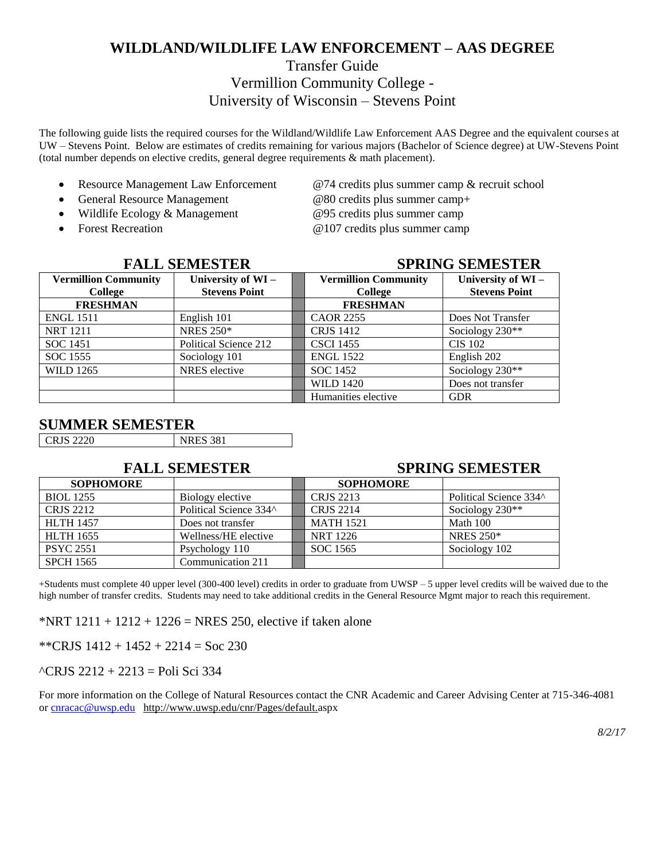### **WILDLAND/WILDLIFE LAW ENFORCEMENT – AAS DEGREE**

### Transfer Guide Vermillion Community College - University of Wisconsin – Stevens Point

The following guide lists the required courses for the Wildland/Wildlife Law Enforcement AAS Degree and the equivalent courses at UW – Stevens Point. Below are estimates of credits remaining for various majors (Bachelor of Science degree) at UW-Stevens Point (total number depends on elective credits, general degree requirements & math placement).

- 
- General Resource Management  $@80$  credits plus summer camp+
- Wildlife Ecology & Management @95 credits plus summer camp
- 
- Resource Management Law Enforcement @74 credits plus summer camp & recruit school
	-
	-
- Forest Recreation **and C** and C and C and C and C and C and C and C and C and C and C and C and C and C and C and C and C and C and C and C and C and C and C and C and C and C and C and C and C and C and C and C and C an

#### **FALL SEMESTER SPRING SEMESTER**

| <b>Vermillion Community</b><br>College | University of WI-<br><b>Stevens Point</b> | <b>Vermillion Community</b><br>College | University of WI-<br><b>Stevens Point</b> |
|----------------------------------------|-------------------------------------------|----------------------------------------|-------------------------------------------|
| <b>FRESHMAN</b>                        |                                           | <b>FRESHMAN</b>                        |                                           |
| <b>ENGL 1511</b>                       | English 101                               | <b>CAOR 2255</b>                       | Does Not Transfer                         |
| <b>NRT 1211</b>                        | <b>NRES 250*</b>                          | <b>CRJS 1412</b>                       | Sociology $230**$                         |
| SOC 1451                               | Political Science 212                     | <b>CSCI 1455</b>                       | <b>CIS 102</b>                            |
| SOC 1555                               | Sociology 101                             | <b>ENGL 1522</b>                       | English 202                               |
| <b>WILD 1265</b>                       | NRES elective                             | SOC 1452                               | Sociology 230**                           |
|                                        |                                           | <b>WILD 1420</b>                       | Does not transfer                         |
|                                        |                                           | Humanities elective                    | <b>GDR</b>                                |

#### **SUMMER SEMESTER**

**SOPHOMORE SOPHOMORE**

 $\Gamma$ 

CRJS 2220 NRES 381

# **FALL SEMESTER SPRING SEMESTER**

| <b>DOI HORIONE</b> |                        | <u>bol homone</u> |                        |
|--------------------|------------------------|-------------------|------------------------|
| <b>BIOL</b> 1255   | Biology elective       | <b>CRJS 2213</b>  | Political Science 334^ |
| CRJS 2212          | Political Science 334^ | CRJS 2214         | Sociology $230**$      |
| <b>HLTH 1457</b>   | Does not transfer      | <b>MATH 1521</b>  | Math $100$             |
| <b>HLTH 1655</b>   | Wellness/HE elective   | <b>NRT</b> 1226   | <b>NRES</b> 250*       |
| <b>PSYC 2551</b>   | Psychology 110         | SOC 1565          | Sociology 102          |
| <b>SPCH 1565</b>   | Communication 211      |                   |                        |

+Students must complete 40 upper level (300-400 level) credits in order to graduate from UWSP – 5 upper level credits will be waived due to the high number of transfer credits. Students may need to take additional credits in the General Resource Mgmt major to reach this requirement.

\*NRT  $1211 + 1212 + 1226$  = NRES 250, elective if taken alone

\*\*CRJS  $1412 + 1452 + 2214 =$  Soc 230

^CRJS 2212 + 2213 = Poli Sci 334

For more information on the College of Natural Resources contact the CNR Academic and Career Advising Center at 715-346-4081 or [cnracac@uwsp.edu](mailto:cnracac@uwsp.edu) <http://www.uwsp.edu/cnr/Pages/default.aspx>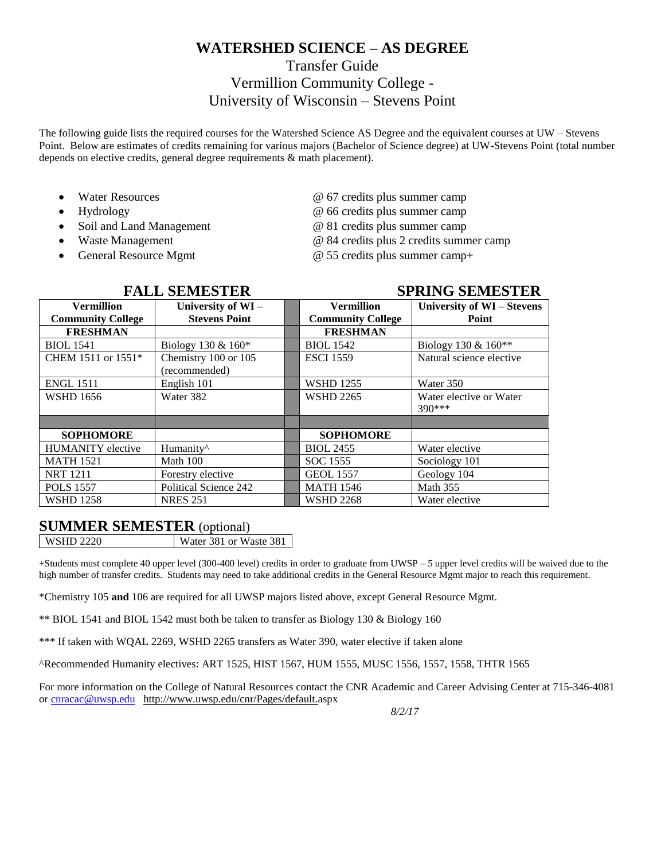## **WATERSHED SCIENCE – AS DEGREE**

### Transfer Guide Vermillion Community College - University of Wisconsin – Stevens Point

The following guide lists the required courses for the Watershed Science AS Degree and the equivalent courses at UW – Stevens Point. Below are estimates of credits remaining for various majors (Bachelor of Science degree) at UW-Stevens Point (total number depends on elective credits, general degree requirements & math placement).

- 
- 
- Soil and Land Management  $@ 81$  credits plus summer camp
- 
- 
- Water Resources  $\omega$  67 credits plus summer camp
- Hydrology @ 66 credits plus summer camp
	-
- Waste Management @ 84 credits plus 2 credits summer camp
	- General Resource Mgmt  $@ 55$  credits plus summer camp+

|                          | FALL SEMESTEK         | SPRING SEMESTER          |                            |  |
|--------------------------|-----------------------|--------------------------|----------------------------|--|
| <b>Vermillion</b>        | University of WI-     | <b>Vermillion</b>        | University of WI - Stevens |  |
| <b>Community College</b> | <b>Stevens Point</b>  | <b>Community College</b> | Point                      |  |
| <b>FRESHMAN</b>          |                       | <b>FRESHMAN</b>          |                            |  |
| <b>BIOL</b> 1541         | Biology 130 & 160*    | <b>BIOL</b> 1542         | Biology 130 & $160**$      |  |
| CHEM 1511 or 1551*       | Chemistry 100 or 105  | <b>ESCI 1559</b>         | Natural science elective   |  |
|                          | (recommended)         |                          |                            |  |
| <b>ENGL 1511</b>         | English 101           | <b>WSHD 1255</b>         | Water 350                  |  |
| <b>WSHD 1656</b>         | Water 382             | <b>WSHD 2265</b>         | Water elective or Water    |  |
|                          |                       |                          | $390***$                   |  |
|                          |                       |                          |                            |  |
| <b>SOPHOMORE</b>         |                       | <b>SOPHOMORE</b>         |                            |  |
| <b>HUMANITY</b> elective | Humanity <sup>^</sup> | <b>BIOL 2455</b>         | Water elective             |  |
| <b>MATH 1521</b>         | Math 100              | SOC 1555                 | Sociology 101              |  |
| <b>NRT 1211</b>          | Forestry elective     | <b>GEOL 1557</b>         | Geology 104                |  |
| <b>POLS 1557</b>         | Political Science 242 | <b>MATH 1546</b>         | Math 355                   |  |
| <b>WSHD 1258</b>         | <b>NRES 251</b>       | <b>WSHD 2268</b>         | Water elective             |  |

#### **SUMMER SEMESTER** (optional)

WSHD 2220 Water 381 or Waste 381

+Students must complete 40 upper level (300-400 level) credits in order to graduate from UWSP – 5 upper level credits will be waived due to the high number of transfer credits. Students may need to take additional credits in the General Resource Mgmt major to reach this requirement.

\*Chemistry 105 **and** 106 are required for all UWSP majors listed above, except General Resource Mgmt.

\*\* BIOL 1541 and BIOL 1542 must both be taken to transfer as Biology 130 & Biology 160

\*\*\* If taken with WQAL 2269, WSHD 2265 transfers as Water 390, water elective if taken alone

^Recommended Humanity electives: ART 1525, HIST 1567, HUM 1555, MUSC 1556, 1557, 1558, THTR 1565

For more information on the College of Natural Resources contact the CNR Academic and Career Advising Center at 715-346-4081 or [cnracac@uwsp.edu](mailto:cnracac@uwsp.edu) <http://www.uwsp.edu/cnr/Pages/default.aspx>

*8/2/17*

## **FALL SEMESTER SPRING SEMESTER**